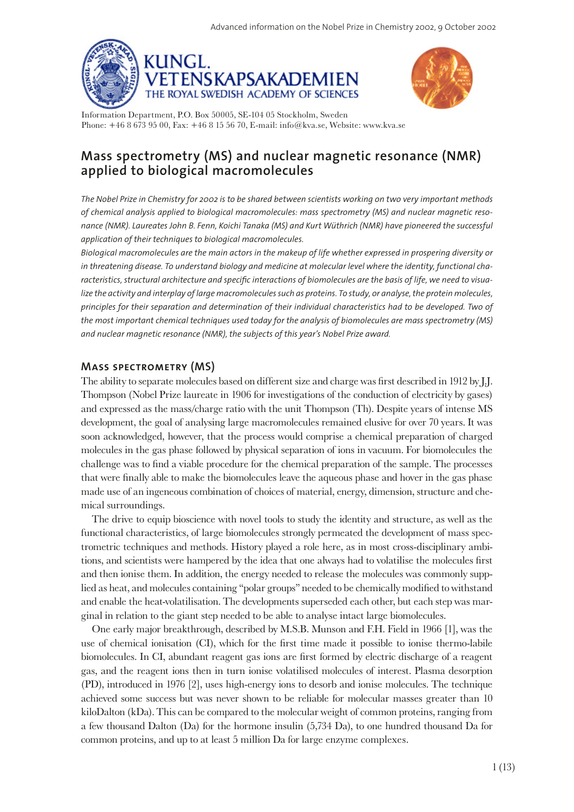



Information Department, P.O. Box 50005, SE-104 05 Stockholm, Sweden Phone: +46 8 673 95 00, Fax: +46 8 15 56 70, E-mail: info@kva.se, Website: www.kva.se

# **Mass spectrometry (MS) and nuclear magnetic resonance (NMR) applied to biological macromolecules**

*The Nobel Prize in Chemistry for 2002 is to be shared between scientists working on two very important methods of chemical analysis applied to biological macromolecules: mass spectrometry (MS) and nuclear magnetic resonance (NMR). Laureates John B. Fenn, Koichi Tanaka (MS) and Kurt Wüthrich (NMR) have pioneered the successful application of their techniques to biological macromolecules.*

*Biological macromolecules are the main actors in the makeup of life whether expressed in prospering diversity or in threatening disease. To understand biology and medicine at molecular level where the identity, functional characteristics, structural architecture and specifc interactions of biomolecules are the basis of life, we need to visua*lize the activity and interplay of large macromolecules such as proteins. To study, or analyse, the protein molecules, *principles for their separation and determination of their individual characteristics had to be developed. Two of the most important chemical techniques used today for the analysis of biomolecules are mass spectrometry (MS) and nuclear magnetic resonance (NMR), the subjects of this year's Nobel Prize award.*

### **Mass spectrometry (MS)**

The ability to separate molecules based on different size and charge was frst described in 1912 by J.J. Thompson (Nobel Prize laureate in 1906 for investigations of the conduction of electricity by gases) and expressed as the mass/charge ratio with the unit Thompson (Th). Despite years of intense MS development, the goal of analysing large macromolecules remained elusive for over 70 years. It was soon acknowledged, however, that the process would comprise a chemical preparation of charged molecules in the gas phase followed by physical separation of ions in vacuum. For biomolecules the challenge was to fnd a viable procedure for the chemical preparation of the sample. The processes that were fnally able to make the biomolecules leave the aqueous phase and hover in the gas phase made use of an ingeneous combination of choices of material, energy, dimension, structure and chemical surroundings.

The drive to equip bioscience with novel tools to study the identity and structure, as well as the functional characteristics, of large biomolecules strongly permeated the development of mass spectrometric techniques and methods. History played a role here, as in most cross-disciplinary ambitions, and scientists were hampered by the idea that one always had to volatilise the molecules frst and then ionise them. In addition, the energy needed to release the molecules was commonly supplied as heat, and molecules containing "polar groups" needed to be chemically modifed to withstand and enable the heat-volatilisation. The developments superseded each other, but each step was marginal in relation to the giant step needed to be able to analyse intact large biomolecules.

One early major breakthrough, described by M.S.B. Munson and F.H. Field in 1966 [1], was the use of chemical ionisation (CI), which for the frst time made it possible to ionise thermo-labile biomolecules. In CI, abundant reagent gas ions are frst formed by electric discharge of a reagent gas, and the reagent ions then in turn ionise volatilised molecules of interest. Plasma desorption (PD), introduced in 1976 [2], uses high-energy ions to desorb and ionise molecules. The technique achieved some success but was never shown to be reliable for molecular masses greater than 10 kiloDalton (kDa). This can be compared to the molecular weight of common proteins, ranging from a few thousand Dalton (Da) for the hormone insulin (5,734 Da), to one hundred thousand Da for common proteins, and up to at least 5 million Da for large enzyme complexes.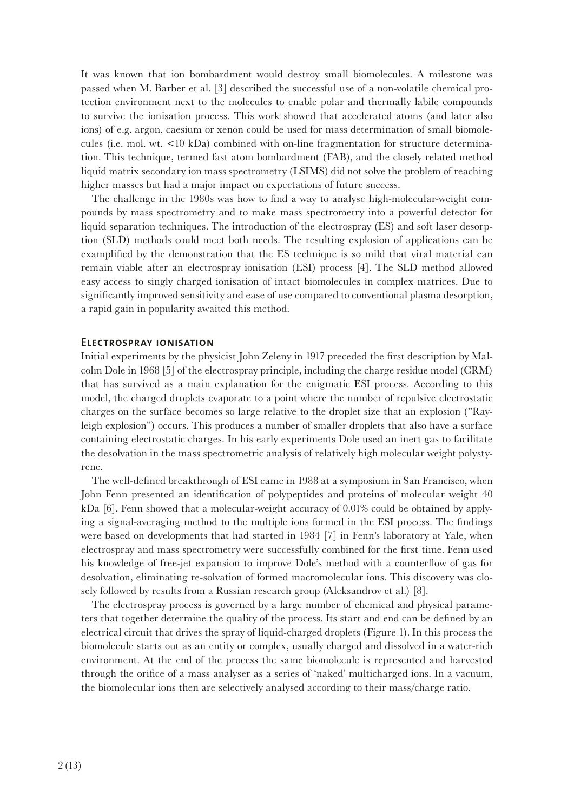It was known that ion bombardment would destroy small biomolecules. A milestone was passed when M. Barber et al. [3] described the successful use of a non-volatile chemical protection environment next to the molecules to enable polar and thermally labile compounds to survive the ionisation process. This work showed that accelerated atoms (and later also ions) of e.g. argon, caesium or xenon could be used for mass determination of small biomolecules (i.e. mol. wt.  $\langle 10 \text{ kDa} \rangle$  combined with on-line fragmentation for structure determination. This technique, termed fast atom bombardment (FAB), and the closely related method liquid matrix secondary ion mass spectrometry (LSIMS) did not solve the problem of reaching higher masses but had a major impact on expectations of future success.

The challenge in the 1980s was how to fnd a way to analyse high-molecular-weight compounds by mass spectrometry and to make mass spectrometry into a powerful detector for liquid separation techniques. The introduction of the electrospray (ES) and soft laser desorption (SLD) methods could meet both needs. The resulting explosion of applications can be examplifed by the demonstration that the ES technique is so mild that viral material can remain viable after an electrospray ionisation (ESI) process [4]. The SLD method allowed easy access to singly charged ionisation of intact biomolecules in complex matrices. Due to signifcantly improved sensitivity and ease of use compared to conventional plasma desorption, a rapid gain in popularity awaited this method.

### **Electrospray ionisation**

Initial experiments by the physicist John Zeleny in 1917 preceded the frst description by Malcolm Dole in 1968 [5] of the electrospray principle, including the charge residue model (CRM) that has survived as a main explanation for the enigmatic ESI process. According to this model, the charged droplets evaporate to a point where the number of repulsive electrostatic charges on the surface becomes so large relative to the droplet size that an explosion ("Rayleigh explosion") occurs. This produces a number of smaller droplets that also have a surface containing electrostatic charges. In his early experiments Dole used an inert gas to facilitate the desolvation in the mass spectrometric analysis of relatively high molecular weight polystyrene.

The well-defned breakthrough of ESI came in 1988 at a symposium in San Francisco, when John Fenn presented an identifcation of polypeptides and proteins of molecular weight 40 kDa [6]. Fenn showed that a molecular-weight accuracy of 0.01% could be obtained by applying a signal-averaging method to the multiple ions formed in the ESI process. The fndings were based on developments that had started in 1984 [7] in Fenn's laboratory at Yale, when electrospray and mass spectrometry were successfully combined for the frst time. Fenn used his knowledge of free-jet expansion to improve Dole's method with a counterfow of gas for desolvation, eliminating re-solvation of formed macromolecular ions. This discovery was closely followed by results from a Russian research group (Aleksandrov et al.) [8].

The electrospray process is governed by a large number of chemical and physical parameters that together determine the quality of the process. Its start and end can be defned by an electrical circuit that drives the spray of liquid-charged droplets (Figure 1). In this process the biomolecule starts out as an entity or complex, usually charged and dissolved in a water-rich environment. At the end of the process the same biomolecule is represented and harvested through the orifce of a mass analyser as a series of 'naked' multicharged ions. In a vacuum, the biomolecular ions then are selectively analysed according to their mass/charge ratio.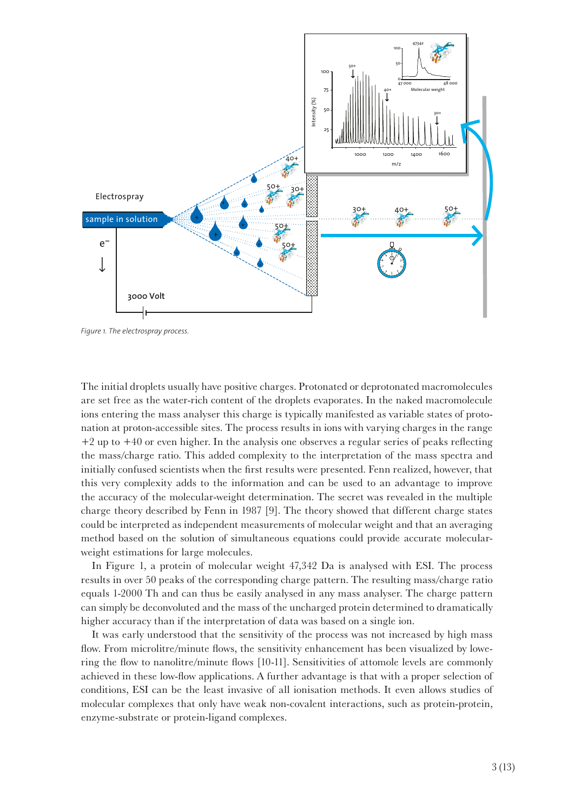

*Figure 1. The electrospray process.*

The initial droplets usually have positive charges. Protonated or deprotonated macromolecules are set free as the water-rich content of the droplets evaporates. In the naked macromolecule ions entering the mass analyser this charge is typically manifested as variable states of protonation at proton-accessible sites. The process results in ions with varying charges in the range +2 up to +40 or even higher. In the analysis one observes a regular series of peaks refecting the mass/charge ratio. This added complexity to the interpretation of the mass spectra and initially confused scientists when the frst results were presented. Fenn realized, however, that this very complexity adds to the information and can be used to an advantage to improve the accuracy of the molecular-weight determination. The secret was revealed in the multiple charge theory described by Fenn in 1987 [9]. The theory showed that different charge states could be interpreted as independent measurements of molecular weight and that an averaging method based on the solution of simultaneous equations could provide accurate molecularweight estimations for large molecules.

In Figure 1, a protein of molecular weight 47,342 Da is analysed with ESI. The process results in over 50 peaks of the corresponding charge pattern. The resulting mass/charge ratio equals 1-2000 Th and can thus be easily analysed in any mass analyser. The charge pattern can simply be deconvoluted and the mass of the uncharged protein determined to dramatically higher accuracy than if the interpretation of data was based on a single ion.

It was early understood that the sensitivity of the process was not increased by high mass fow. From microlitre/minute fows, the sensitivity enhancement has been visualized by lowering the fow to nanolitre/minute fows [10-11]. Sensitivities of attomole levels are commonly achieved in these low-fow applications. A further advantage is that with a proper selection of conditions, ESI can be the least invasive of all ionisation methods. It even allows studies of molecular complexes that only have weak non-covalent interactions, such as protein-protein, enzyme-substrate or protein-ligand complexes.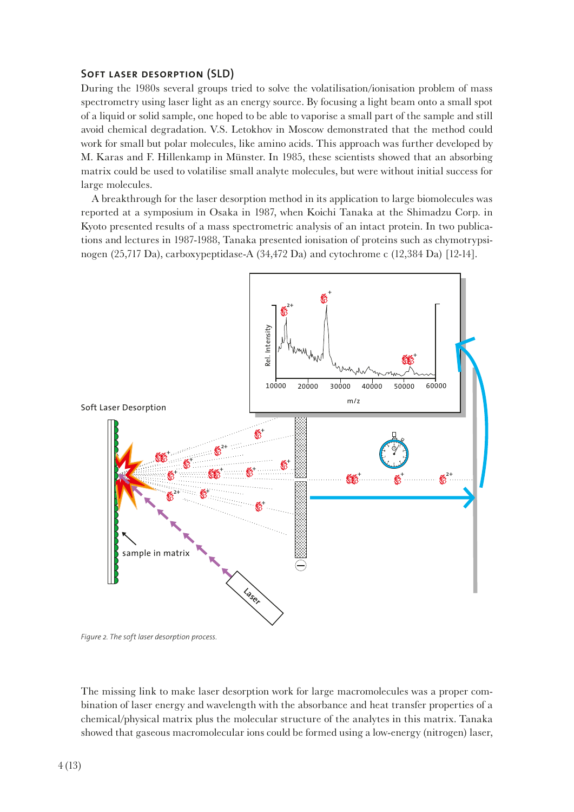### **Soft laser desorption (SLD)**

During the 1980s several groups tried to solve the volatilisation/ionisation problem of mass spectrometry using laser light as an energy source. By focusing a light beam onto a small spot of a liquid or solid sample, one hoped to be able to vaporise a small part of the sample and still avoid chemical degradation. V.S. Letokhov in Moscow demonstrated that the method could work for small but polar molecules, like amino acids. This approach was further developed by M. Karas and F. Hillenkamp in Münster. In 1985, these scientists showed that an absorbing matrix could be used to volatilise small analyte molecules, but were without initial success for large molecules.

A breakthrough for the laser desorption method in its application to large biomolecules was reported at a symposium in Osaka in 1987, when Koichi Tanaka at the Shimadzu Corp. in Kyoto presented results of a mass spectrometric analysis of an intact protein. In two publications and lectures in 1987-1988, Tanaka presented ionisation of proteins such as chymotrypsinogen (25,717 Da), carboxypeptidase-A (34,472 Da) and cytochrome c (12,384 Da) [12-14].



*Figure 2. The soft laser desorption process.*

The missing link to make laser desorption work for large macromolecules was a proper combination of laser energy and wavelength with the absorbance and heat transfer properties of a chemical/physical matrix plus the molecular structure of the analytes in this matrix. Tanaka showed that gaseous macromolecular ions could be formed using a low-energy (nitrogen) laser,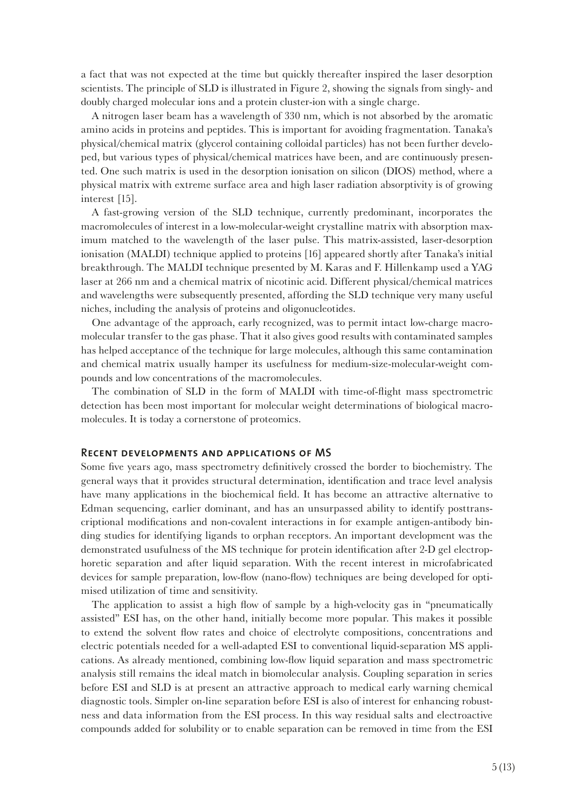a fact that was not expected at the time but quickly thereafter inspired the laser desorption scientists. The principle of SLD is illustrated in Figure 2, showing the signals from singly- and doubly charged molecular ions and a protein cluster-ion with a single charge.

A nitrogen laser beam has a wavelength of 330 nm, which is not absorbed by the aromatic amino acids in proteins and peptides. This is important for avoiding fragmentation. Tanaka's physical/chemical matrix (glycerol containing colloidal particles) has not been further developed, but various types of physical/chemical matrices have been, and are continuously presented. One such matrix is used in the desorption ionisation on silicon (DIOS) method, where a physical matrix with extreme surface area and high laser radiation absorptivity is of growing interest [15].

A fast-growing version of the SLD technique, currently predominant, incorporates the macromolecules of interest in a low-molecular-weight crystalline matrix with absorption maximum matched to the wavelength of the laser pulse. This matrix-assisted, laser-desorption ionisation (MALDI) technique applied to proteins [16] appeared shortly after Tanaka's initial breakthrough. The MALDI technique presented by M. Karas and F. Hillenkamp used a YAG laser at 266 nm and a chemical matrix of nicotinic acid. Different physical/chemical matrices and wavelengths were subsequently presented, affording the SLD technique very many useful niches, including the analysis of proteins and oligonucleotides.

One advantage of the approach, early recognized, was to permit intact low-charge macromolecular transfer to the gas phase. That it also gives good results with contaminated samples has helped acceptance of the technique for large molecules, although this same contamination and chemical matrix usually hamper its usefulness for medium-size-molecular-weight compounds and low concentrations of the macromolecules.

The combination of SLD in the form of MALDI with time-of-fight mass spectrometric detection has been most important for molecular weight determinations of biological macromolecules. It is today a cornerstone of proteomics.

### **Recent developments and applications of MS**

Some five years ago, mass spectrometry definitively crossed the border to biochemistry. The general ways that it provides structural determination, identifcation and trace level analysis have many applications in the biochemical feld. It has become an attractive alternative to Edman sequencing, earlier dominant, and has an unsurpassed ability to identify posttranscriptional modifcations and non-covalent interactions in for example antigen-antibody binding studies for identifying ligands to orphan receptors. An important development was the demonstrated usufulness of the MS technique for protein identifcation after 2-D gel electrophoretic separation and after liquid separation. With the recent interest in microfabricated devices for sample preparation, low-flow (nano-flow) techniques are being developed for optimised utilization of time and sensitivity.

The application to assist a high fow of sample by a high-velocity gas in "pneumatically assisted" ESI has, on the other hand, initially become more popular. This makes it possible to extend the solvent fow rates and choice of electrolyte compositions, concentrations and electric potentials needed for a well-adapted ESI to conventional liquid-separation MS applications. As already mentioned, combining low-fow liquid separation and mass spectrometric analysis still remains the ideal match in biomolecular analysis. Coupling separation in series before ESI and SLD is at present an attractive approach to medical early warning chemical diagnostic tools. Simpler on-line separation before ESI is also of interest for enhancing robustness and data information from the ESI process. In this way residual salts and electroactive compounds added for solubility or to enable separation can be removed in time from the ESI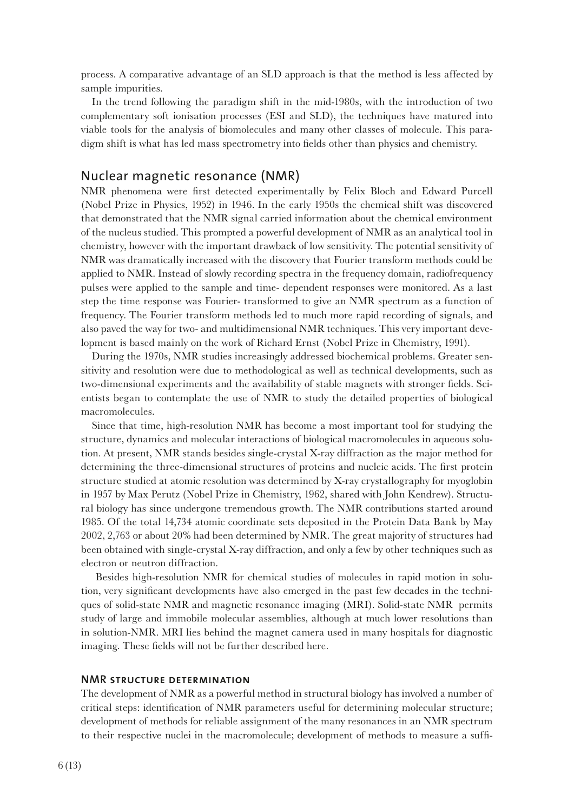process. A comparative advantage of an SLD approach is that the method is less affected by sample impurities.

In the trend following the paradigm shift in the mid-1980s, with the introduction of two complementary soft ionisation processes (ESI and SLD), the techniques have matured into viable tools for the analysis of biomolecules and many other classes of molecule. This paradigm shift is what has led mass spectrometry into felds other than physics and chemistry.

## Nuclear magnetic resonance (NMR)

NMR phenomena were frst detected experimentally by Felix Bloch and Edward Purcell (Nobel Prize in Physics, 1952) in 1946. In the early 1950s the chemical shift was discovered that demonstrated that the NMR signal carried information about the chemical environment of the nucleus studied. This prompted a powerful development of NMR as an analytical tool in chemistry, however with the important drawback of low sensitivity. The potential sensitivity of NMR was dramatically increased with the discovery that Fourier transform methods could be applied to NMR. Instead of slowly recording spectra in the frequency domain, radiofrequency pulses were applied to the sample and time- dependent responses were monitored. As a last step the time response was Fourier- transformed to give an NMR spectrum as a function of frequency. The Fourier transform methods led to much more rapid recording of signals, and also paved the way for two- and multidimensional NMR techniques. This very important development is based mainly on the work of Richard Ernst (Nobel Prize in Chemistry, 1991).

During the 1970s, NMR studies increasingly addressed biochemical problems. Greater sensitivity and resolution were due to methodological as well as technical developments, such as two-dimensional experiments and the availability of stable magnets with stronger felds. Scientists began to contemplate the use of NMR to study the detailed properties of biological macromolecules.

Since that time, high-resolution NMR has become a most important tool for studying the structure, dynamics and molecular interactions of biological macromolecules in aqueous solution. At present, NMR stands besides single-crystal X-ray diffraction as the major method for determining the three-dimensional structures of proteins and nucleic acids. The frst protein structure studied at atomic resolution was determined by X-ray crystallography for myoglobin in 1957 by Max Perutz (Nobel Prize in Chemistry, 1962, shared with John Kendrew). Structural biology has since undergone tremendous growth. The NMR contributions started around 1985. Of the total 14,734 atomic coordinate sets deposited in the Protein Data Bank by May 2002, 2,763 or about 20% had been determined by NMR. The great majority of structures had been obtained with single-crystal X-ray diffraction, and only a few by other techniques such as electron or neutron diffraction.

 Besides high-resolution NMR for chemical studies of molecules in rapid motion in solution, very signifcant developments have also emerged in the past few decades in the techniques of solid-state NMR and magnetic resonance imaging (MRI). Solid-state NMR permits study of large and immobile molecular assemblies, although at much lower resolutions than in solution-NMR. MRI lies behind the magnet camera used in many hospitals for diagnostic imaging. These felds will not be further described here.

### **NMR structure determination**

The development of NMR as a powerful method in structural biology has involved a number of critical steps: identifcation of NMR parameters useful for determining molecular structure; development of methods for reliable assignment of the many resonances in an NMR spectrum to their respective nuclei in the macromolecule; development of methods to measure a suff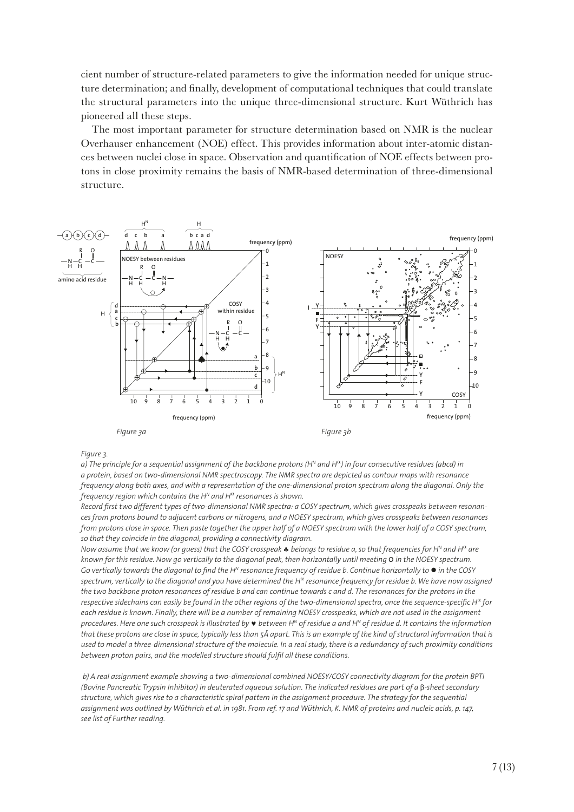cient number of structure-related parameters to give the information needed for unique structure determination; and fnally, development of computational techniques that could translate the structural parameters into the unique three-dimensional structure. Kurt Wüthrich has pioneered all these steps.

The most important parameter for structure determination based on NMR is the nuclear Overhauser enhancement (NOE) effect. This provides information about inter-atomic distances between nuclei close in space. Observation and quantifcation of NOE effects between protons in close proximity remains the basis of NMR-based determination of three-dimensional structure.



#### *Figure 3.*

*a) The principle for a sequential assignment of the backbone protons (HN and H*<sup>α</sup>*) in four consecutive residues (abcd) in a protein, based on two-dimensional NMR spectroscopy. The NMR spectra are depicted as contour maps with resonance frequency along both axes, and with a representation of the one-dimensional proton spectrum along the diagonal. Only the frequency region which contains the HN and H*<sup>α</sup> *resonances is shown.*

*Record frst two different types of two-dimensional NMR spectra: a COSY spectrum, which gives crosspeaks between resonances from protons bound to adjacent carbons or nitrogens, and a NOESY spectrum, which gives crosspeaks between resonances from protons close in space. Then paste together the upper half of a NOESY spectrum with the lower half of a COSY spectrum, so that they coincide in the diagonal, providing a connectivity diagram.*

*Now assume that we know (or guess) that the COSY crosspeak* ♣ *belongs to residue a, so that frequencies for HN and H*<sup>α</sup> *are known for this residue. Now go vertically to the diagonal peak, then horizontally until meeting O in the NOESY spectrum. Go vertically towards the diagonal to find the H<sup>N</sup> resonance frequency of residue b. Continue horizontally to*  $\bullet$  *in the COSY spectrum, vertically to the diagonal and you have determined the H*α *resonance frequency for residue b. We have now assigned the two backbone proton resonances of residue b and can continue towards c and d. The resonances for the protons in the respective sidechains can easily be found in the other regions of the two-dimensional spectra, once the sequence-specifc H*α *for each residue is known. Finally, there will be a number of remaining NOESY crosspeaks, which are not used in the assignment procedures. Here one such crosspeak is illustrated by* ♥ *between HN of residue a and HN of residue d. It contains the information that these protons are close in space, typically less than 5Å apart. This is an example of the kind of structural information that is used to model a three-dimensional structure of the molecule. In a real study, there is a redundancy of such proximity conditions between proton pairs, and the modelled structure should fulfl all these conditions.*

 *b) A real assignment example showing a two-dimensional combined NOESY/COSY connectivity diagram for the protein BPTI (Bovine Pancreatic Trypsin Inhibitor) in deuterated aqueous solution. The indicated residues are part of a* β*-sheet secondary structure, which gives rise to a characteristic spiral pattern in the assignment procedure. The strategy for the sequential assignment was outlined by Wüthrich et al. in 1981. From ref. 17 and Wüthrich, K. NMR of proteins and nucleic acids, p. 147, see list of Further reading.*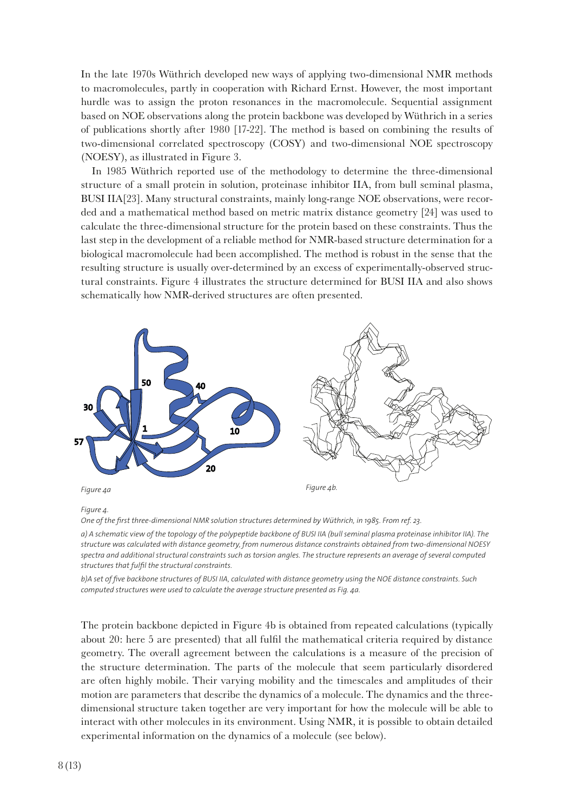In the late 1970s Wüthrich developed new ways of applying two-dimensional NMR methods to macromolecules, partly in cooperation with Richard Ernst. However, the most important hurdle was to assign the proton resonances in the macromolecule. Sequential assignment based on NOE observations along the protein backbone was developed by Wüthrich in a series of publications shortly after 1980 [17-22]. The method is based on combining the results of two-dimensional correlated spectroscopy (COSY) and two-dimensional NOE spectroscopy (NOESY), as illustrated in Figure 3.

In 1985 Wüthrich reported use of the methodology to determine the three-dimensional structure of a small protein in solution, proteinase inhibitor IIA, from bull seminal plasma, BUSI IIA[23]. Many structural constraints, mainly long-range NOE observations, were recorded and a mathematical method based on metric matrix distance geometry [24] was used to calculate the three-dimensional structure for the protein based on these constraints. Thus the last step in the development of a reliable method for NMR-based structure determination for a biological macromolecule had been accomplished. The method is robust in the sense that the resulting structure is usually over-determined by an excess of experimentally-observed structural constraints. Figure 4 illustrates the structure determined for BUSI IIA and also shows schematically how NMR-derived structures are often presented.



#### *Figure 4.*

*One of the frst three-dimensional NMR solution structures determined by Wüthrich, in 1985. From ref. 23.* 

*b)A set of fve backbone structures of BUSI IIA, calculated with distance geometry using the NOE distance constraints. Such computed structures were used to calculate the average structure presented as Fig. 4a.*

The protein backbone depicted in Figure 4b is obtained from repeated calculations (typically about 20: here 5 are presented) that all fulfl the mathematical criteria required by distance geometry. The overall agreement between the calculations is a measure of the precision of the structure determination. The parts of the molecule that seem particularly disordered are often highly mobile. Their varying mobility and the timescales and amplitudes of their motion are parameters that describe the dynamics of a molecule. The dynamics and the threedimensional structure taken together are very important for how the molecule will be able to interact with other molecules in its environment. Using NMR, it is possible to obtain detailed experimental information on the dynamics of a molecule (see below).

*a) A schematic view of the topology of the polypeptide backbone of BUSI IIA (bull seminal plasma proteinase inhibitor IIA). The structure was calculated with distance geometry, from numerous distance constraints obtained from two-dimensional NOESY spectra and additional structural constraints such as torsion angles. The structure represents an average of several computed structures that fulfl the structural constraints.*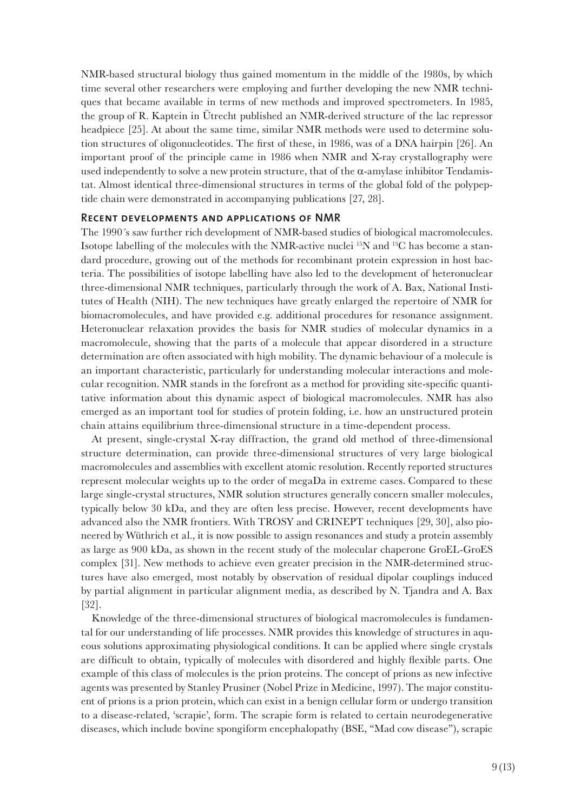NMR-based structural biology thus gained momentum in the middle of the 1980s, by which time several other researchers were employing and further developing the new NMR techniques that became available in terms of new methods and improved spectrometers. In 1985, the group of R. Kaptein in Ütrecht published an NMR-derived structure of the lac repressor headpiece [25]. At about the same time, similar NMR methods were used to determine solution structures of oligonucleotides. The frst of these, in 1986, was of a DNA hairpin [26]. An important proof of the principle came in 1986 when NMR and X-ray crystallography were used independently to solve a new protein structure, that of the  $\alpha$ -amylase inhibitor Tendamistat. Almost identical three-dimensional structures in terms of the global fold of the polypeptide chain were demonstrated in accompanying publications [27, 28].

### **Recent developments and applications of NMR**

The 1990´s saw further rich development of NMR-based studies of biological macromolecules. Isotope labelling of the molecules with the NMR-active nuclei  ${}^{15}N$  and  ${}^{13}C$  has become a standard procedure, growing out of the methods for recombinant protein expression in host bacteria. The possibilities of isotope labelling have also led to the development of heteronuclear three-dimensional NMR techniques, particularly through the work of A. Bax, National Institutes of Health (NIH). The new techniques have greatly enlarged the repertoire of NMR for biomacromolecules, and have provided e.g. additional procedures for resonance assignment. Heteronuclear relaxation provides the basis for NMR studies of molecular dynamics in a macromolecule, showing that the parts of a molecule that appear disordered in a structure determination are often associated with high mobility. The dynamic behaviour of a molecule is an important characteristic, particularly for understanding molecular interactions and molecular recognition. NMR stands in the forefront as a method for providing site-specifc quantitative information about this dynamic aspect of biological macromolecules. NMR has also emerged as an important tool for studies of protein folding, i.e. how an unstructured protein chain attains equilibrium three-dimensional structure in a time-dependent process.

At present, single-crystal X-ray diffraction, the grand old method of three-dimensional structure determination, can provide three-dimensional structures of very large biological macromolecules and assemblies with excellent atomic resolution. Recently reported structures represent molecular weights up to the order of megaDa in extreme cases. Compared to these large single-crystal structures, NMR solution structures generally concern smaller molecules, typically below 30 kDa, and they are often less precise. However, recent developments have advanced also the NMR frontiers. With TROSY and CRINEPT techniques [29, 30], also pioneered by Wüthrich et al., it is now possible to assign resonances and study a protein assembly as large as 900 kDa, as shown in the recent study of the molecular chaperone GroEL-GroES complex [31]. New methods to achieve even greater precision in the NMR-determined structures have also emerged, most notably by observation of residual dipolar couplings induced by partial alignment in particular alignment media, as described by N. Tjandra and A. Bax [32].

Knowledge of the three-dimensional structures of biological macromolecules is fundamental for our understanding of life processes. NMR provides this knowledge of structures in aqueous solutions approximating physiological conditions. It can be applied where single crystals are diffcult to obtain, typically of molecules with disordered and highly fexible parts. One example of this class of molecules is the prion proteins. The concept of prions as new infective agents was presented by Stanley Prusiner (Nobel Prize in Medicine, 1997). The major constituent of prions is a prion protein, which can exist in a benign cellular form or undergo transition to a disease-related, 'scrapie', form. The scrapie form is related to certain neurodegenerative diseases, which include bovine spongiform encephalopathy (BSE, "Mad cow disease"), scrapie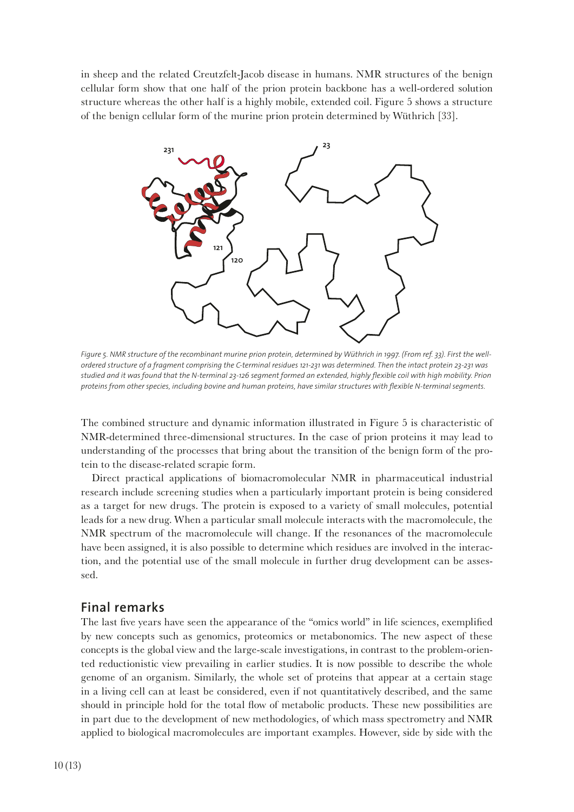in sheep and the related Creutzfelt-Jacob disease in humans. NMR structures of the benign cellular form show that one half of the prion protein backbone has a well-ordered solution structure whereas the other half is a highly mobile, extended coil. Figure 5 shows a structure of the benign cellular form of the murine prion protein determined by Wüthrich [33].



*Figure 5. NMR structure of the recombinant murine prion protein, determined by Wüthrich in 1997. (From ref. 33). First the wellordered structure of a fragment comprising the C-terminal residues 121-231 was determined. Then the intact protein 23-231 was studied and it was found that the N-terminal 23-126 segment formed an extended, highly fexible coil with high mobility. Prion proteins from other species, including bovine and human proteins, have similar structures with fexible N-terminal segments.* 

The combined structure and dynamic information illustrated in Figure 5 is characteristic of NMR-determined three-dimensional structures. In the case of prion proteins it may lead to understanding of the processes that bring about the transition of the benign form of the protein to the disease-related scrapie form.

Direct practical applications of biomacromolecular NMR in pharmaceutical industrial research include screening studies when a particularly important protein is being considered as a target for new drugs. The protein is exposed to a variety of small molecules, potential leads for a new drug. When a particular small molecule interacts with the macromolecule, the NMR spectrum of the macromolecule will change. If the resonances of the macromolecule have been assigned, it is also possible to determine which residues are involved in the interaction, and the potential use of the small molecule in further drug development can be assessed.

## **Final remarks**

The last fve years have seen the appearance of the "omics world" in life sciences, exemplifed by new concepts such as genomics, proteomics or metabonomics. The new aspect of these concepts is the global view and the large-scale investigations, in contrast to the problem-oriented reductionistic view prevailing in earlier studies. It is now possible to describe the whole genome of an organism. Similarly, the whole set of proteins that appear at a certain stage in a living cell can at least be considered, even if not quantitatively described, and the same should in principle hold for the total fow of metabolic products. These new possibilities are in part due to the development of new methodologies, of which mass spectrometry and NMR applied to biological macromolecules are important examples. However, side by side with the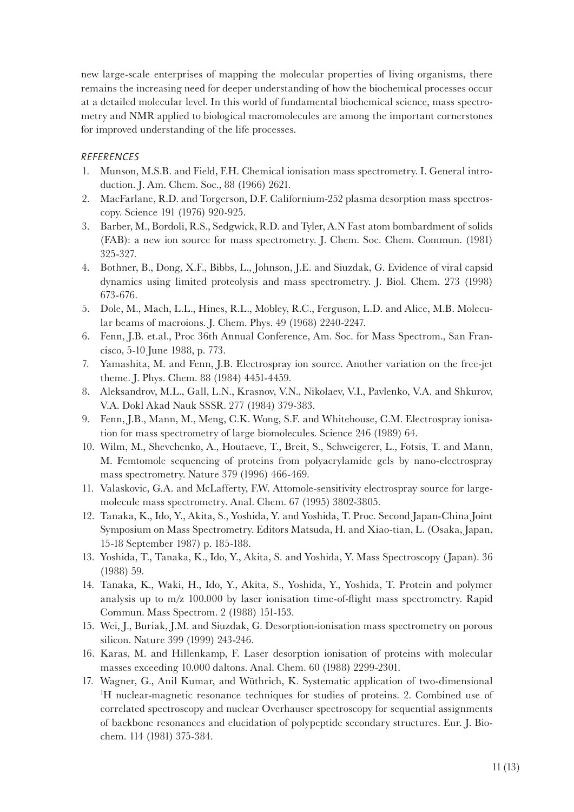new large-scale enterprises of mapping the molecular properties of living organisms, there remains the increasing need for deeper understanding of how the biochemical processes occur at a detailed molecular level. In this world of fundamental biochemical science, mass spectrometry and NMR applied to biological macromolecules are among the important cornerstones for improved understanding of the life processes.

## *REFERENCES*

- 1. Munson, M.S.B. and Field, F.H. Chemical ionisation mass spectrometry. I. General introduction. J. Am. Chem. Soc., 88 (1966) 2621.
- 2. MacFarlane, R.D. and Torgerson, D.F. Californium-252 plasma desorption mass spectroscopy. Science 191 (1976) 920-925.
- 3. Barber, M., Bordoli, R.S., Sedgwick, R.D. and Tyler, A.N Fast atom bombardment of solids (FAB): a new ion source for mass spectrometry. J. Chem. Soc. Chem. Commun. (1981) 325-327.
- 4. Bothner, B., Dong, X.F., Bibbs, L., Johnson, J.E. and Siuzdak, G. Evidence of viral capsid dynamics using limited proteolysis and mass spectrometry. J. Biol. Chem. 273 (1998) 673-676.
- 5. Dole, M., Mach, L.L., Hines, R.L., Mobley, R.C., Ferguson, L.D. and Alice, M.B. Molecular beams of macroions. J. Chem. Phys. 49 (1968) 2240-2247.
- 6. Fenn, J.B. et.al., Proc 36th Annual Conference, Am. Soc. for Mass Spectrom., San Francisco, 5-10 June 1988, p. 773.
- 7. Yamashita, M. and Fenn, J.B. Electrospray ion source. Another variation on the free-jet theme. J. Phys. Chem. 88 (1984) 4451-4459.
- 8. Aleksandrov, M.L., Gall, L.N., Krasnov, V.N., Nikolaev, V.I., Pavlenko, V.A. and Shkurov, V.A. Dokl Akad Nauk SSSR. 277 (1984) 379-383.
- 9. Fenn, J.B., Mann, M., Meng, C.K. Wong, S.F. and Whitehouse, C.M. Electrospray ionisation for mass spectrometry of large biomolecules. Science 246 (1989) 64.
- 10. Wilm, M., Shevchenko, A., Houtaeve, T., Breit, S., Schweigerer, L., Fotsis, T. and Mann, M. Femtomole sequencing of proteins from polyacrylamide gels by nano-electrospray mass spectrometry. Nature 379 (1996) 466-469.
- 11. Valaskovic, G.A. and McLafferty, F.W. Attomole-sensitivity electrospray source for largemolecule mass spectrometry. Anal. Chem. 67 (1995) 3802-3805.
- 12. Tanaka, K., Ido, Y., Akita, S., Yoshida, Y. and Yoshida, T. Proc. Second Japan-China Joint Symposium on Mass Spectrometry. Editors Matsuda, H. and Xiao-tian, L. (Osaka, Japan, 15-18 September 1987) p. 185-188.
- 13. Yoshida, T., Tanaka, K., Ido, Y., Akita, S. and Yoshida, Y. Mass Spectroscopy (Japan). 36 (1988) 59.
- 14. Tanaka, K., Waki, H., Ido, Y., Akita, S., Yoshida, Y., Yoshida, T. Protein and polymer analysis up to m/z 100.000 by laser ionisation time-of-fight mass spectrometry. Rapid Commun. Mass Spectrom. 2 (1988) 151-153.
- 15. Wei, J., Buriak, J.M. and Siuzdak, G. Desorption-ionisation mass spectrometry on porous silicon. Nature 399 (1999) 243-246.
- 16. Karas, M. and Hillenkamp, F. Laser desorption ionisation of proteins with molecular masses exceeding 10.000 daltons. Anal. Chem. 60 (1988) 2299-2301.
- 17. Wagner, G., Anil Kumar, and Wüthrich, K. Systematic application of two-dimensional 1 H nuclear-magnetic resonance techniques for studies of proteins. 2. Combined use of correlated spectroscopy and nuclear Overhauser spectroscopy for sequential assignments of backbone resonances and elucidation of polypeptide secondary structures. Eur. J. Biochem. 114 (1981) 375-384.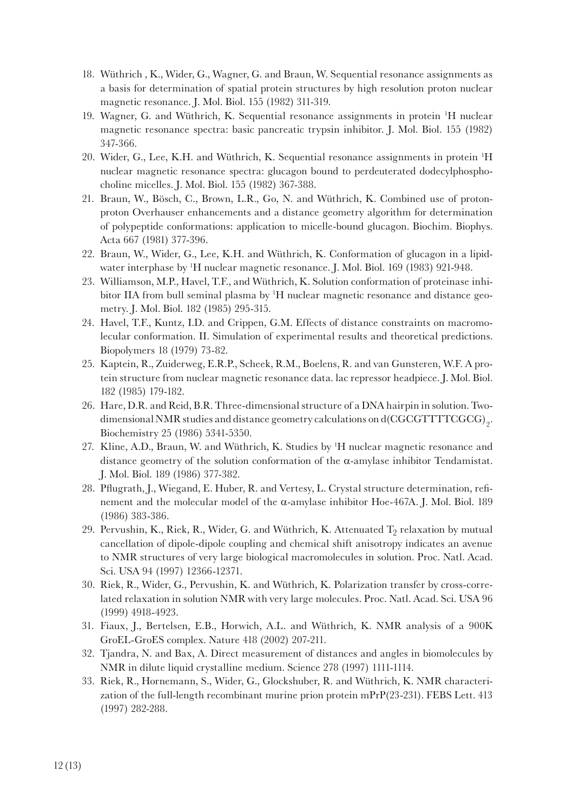- 18. Wüthrich , K., Wider, G., Wagner, G. and Braun, W. Sequential resonance assignments as a basis for determination of spatial protein structures by high resolution proton nuclear magnetic resonance. J. Mol. Biol. 155 (1982) 311-319.
- 19. Wagner, G. and Wüthrich, K. Sequential resonance assignments in protein <sup>1</sup>H nuclear magnetic resonance spectra: basic pancreatic trypsin inhibitor. J. Mol. Biol. 155 (1982) 347-366.
- 20. Wider, G., Lee, K.H. and Wüthrich, K. Sequential resonance assignments in protein 1 H nuclear magnetic resonance spectra: glucagon bound to perdeuterated dodecylphosphocholine micelles. J. Mol. Biol. 155 (1982) 367-388.
- 21. Braun, W., Bösch, C., Brown, L.R., Go, N. and Wüthrich, K. Combined use of protonproton Overhauser enhancements and a distance geometry algorithm for determination of polypeptide conformations: application to micelle-bound glucagon. Biochim. Biophys. Acta 667 (1981) 377-396.
- 22. Braun, W., Wider, G., Lee, K.H. and Wüthrich, K. Conformation of glucagon in a lipidwater interphase by 1 H nuclear magnetic resonance. J. Mol. Biol. 169 (1983) 921-948.
- 23. Williamson, M.P., Havel, T.F., and Wüthrich, K. Solution conformation of proteinase inhibitor IIA from bull seminal plasma by <sup>1</sup>H nuclear magnetic resonance and distance geometry. J. Mol. Biol. 182 (1985) 295-315.
- 24. Havel, T.F., Kuntz, I.D. and Crippen, G.M. Effects of distance constraints on macromolecular conformation. II. Simulation of experimental results and theoretical predictions. Biopolymers 18 (1979) 73-82.
- 25. Kaptein, R., Zuiderweg, E.R.P., Scheek, R.M., Boelens, R. and van Gunsteren, W.F. A protein structure from nuclear magnetic resonance data. lac repressor headpiece. J. Mol. Biol. 182 (1985) 179-182.
- 26. Hare, D.R. and Reid, B.R. Three-dimensional structure of a DNA hairpin in solution. Twodimensional NMR studies and distance geometry calculations on d(CGCGTTTTCGCG)<sub>2</sub>. Biochemistry 25 (1986) 5341-5350.
- 27. Kline, A.D., Braun, W. and Wüthrich, K. Studies by 1 H nuclear magnetic resonance and distance geometry of the solution conformation of the  $\alpha$ -amylase inhibitor Tendamistat. J. Mol. Biol. 189 (1986) 377-382.
- 28. Pfugrath, J., Wiegand, E. Huber, R. and Vertesy, L. Crystal structure determination, refnement and the molecular model of the α-amylase inhibitor Hoe-467A. J. Mol. Biol. 189 (1986) 383-386.
- 29. Pervushin, K., Riek, R., Wider, G. and Wüthrich, K. Attenuated  $T_2$  relaxation by mutual cancellation of dipole-dipole coupling and chemical shift anisotropy indicates an avenue to NMR structures of very large biological macromolecules in solution. Proc. Natl. Acad. Sci. USA 94 (1997) 12366-12371.
- 30. Riek, R., Wider, G., Pervushin, K. and Wüthrich, K. Polarization transfer by cross-correlated relaxation in solution NMR with very large molecules. Proc. Natl. Acad. Sci. USA 96 (1999) 4918-4923.
- 31. Fiaux, J., Bertelsen, E.B., Horwich, A.L. and Wüthrich, K. NMR analysis of a 900K GroEL-GroES complex. Nature 418 (2002) 207-211.
- 32. Tjandra, N. and Bax, A. Direct measurement of distances and angles in biomolecules by NMR in dilute liquid crystalline medium. Science 278 (1997) 1111-1114.
- 33. Riek, R., Hornemann, S., Wider, G., Glockshuber, R. and Wüthrich, K. NMR characterization of the full-length recombinant murine prion protein mPrP(23-231). FEBS Lett. 413 (1997) 282-288.